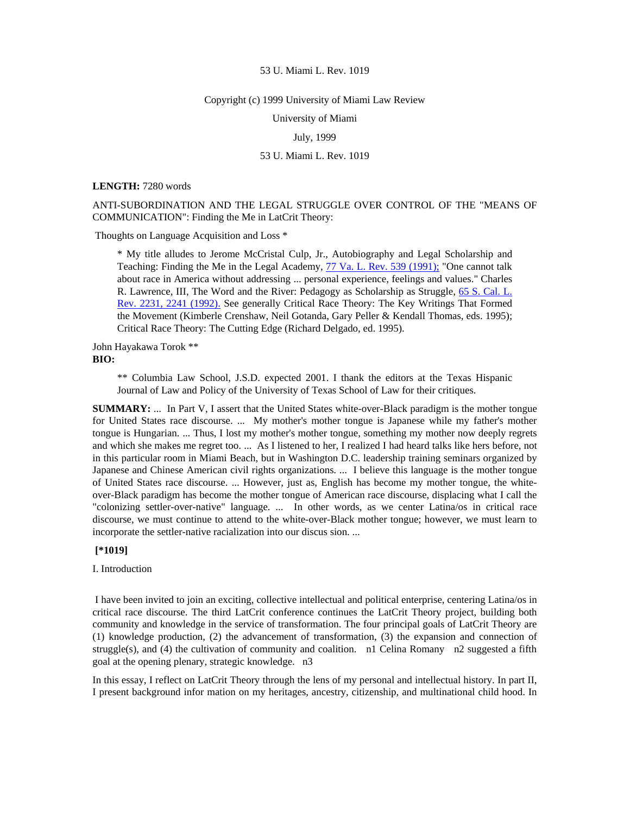#### Copyright (c) 1999 University of Miami Law Review

University of Miami

# July, 1999

# 53 U. Miami L. Rev. 1019

#### **LENGTH:** 7280 words

# ANTI-SUBORDINATION AND THE LEGAL STRUGGLE OVER CONTROL OF THE "MEANS OF COMMUNICATION": Finding the Me in LatCrit Theory:

Thoughts on Language Acquisition and Loss \*

\* My title alludes to Jerome McCristal Culp, Jr., Autobiography and Legal Scholarship and Teaching: Finding the Me in the Legal Academy, [77 Va. L. Rev. 539 \(1991\);](http://www.lexis.com/research/xlink?searchtype=get&search=77%20Va.%20L.%20Rev.%20539) "One cannot talk about race in America without addressing ... personal experience, feelings and values." Charles R. Lawrence, III, The Word and the River: Pedagogy as Scholarship as Struggle, [65 S. Cal. L.](http://www.lexis.com/research/xlink?searchtype=get&search=65%20S.%20Cal.%20L.%20Rev.%202231,at%202241)  [Rev. 2231, 2241 \(1992\).](http://www.lexis.com/research/xlink?searchtype=get&search=65%20S.%20Cal.%20L.%20Rev.%202231,at%202241) See generally Critical Race Theory: The Key Writings That Formed the Movement (Kimberle Crenshaw, Neil Gotanda, Gary Peller & Kendall Thomas, eds. 1995); Critical Race Theory: The Cutting Edge (Richard Delgado, ed. 1995).

John Hayakawa Torok \*\* **BIO:** 

> \*\* Columbia Law School, J.S.D. expected 2001. I thank the editors at the Texas Hispanic Journal of Law and Policy of the University of Texas School of Law for their critiques.

**SUMMARY:** ... In Part V, I assert that the United States white-over-Black paradigm is the mother tongue for United States race discourse. ... My mother's mother tongue is Japanese while my father's mother tongue is Hungarian. ... Thus, I lost my mother's mother tongue, something my mother now deeply regrets and which she makes me regret too. ... As I listened to her, I realized I had heard talks like hers before, not in this particular room in Miami Beach, but in Washington D.C. leadership training seminars organized by Japanese and Chinese American civil rights organizations. ... I believe this language is the mother tongue of United States race discourse. ... However, just as, English has become my mother tongue, the whiteover-Black paradigm has become the mother tongue of American race discourse, displacing what I call the "colonizing settler-over-native" language. ... In other words, as we center Latina/os in critical race discourse, we must continue to attend to the white-over-Black mother tongue; however, we must learn to incorporate the settler-native racialization into our discus sion. ...

# **[\*1019]**

### I. Introduction

 I have been invited to join an exciting, collective intellectual and political enterprise, centering Latina/os in critical race discourse. The third LatCrit conference continues the LatCrit Theory project, building both community and knowledge in the service of transformation. The four principal goals of LatCrit Theory are (1) knowledge production, (2) the advancement of transformation, (3) the expansion and connection of struggle(s), and (4) the cultivation of community and coalition.  $\overline{n}$  Celina Romany  $\overline{n}$  suggested a fifth goal at the opening plenary, strategic knowledge. n3

In this essay, I reflect on LatCrit Theory through the lens of my personal and intellectual history. In part II, I present background infor mation on my heritages, ancestry, citizenship, and multinational child hood. In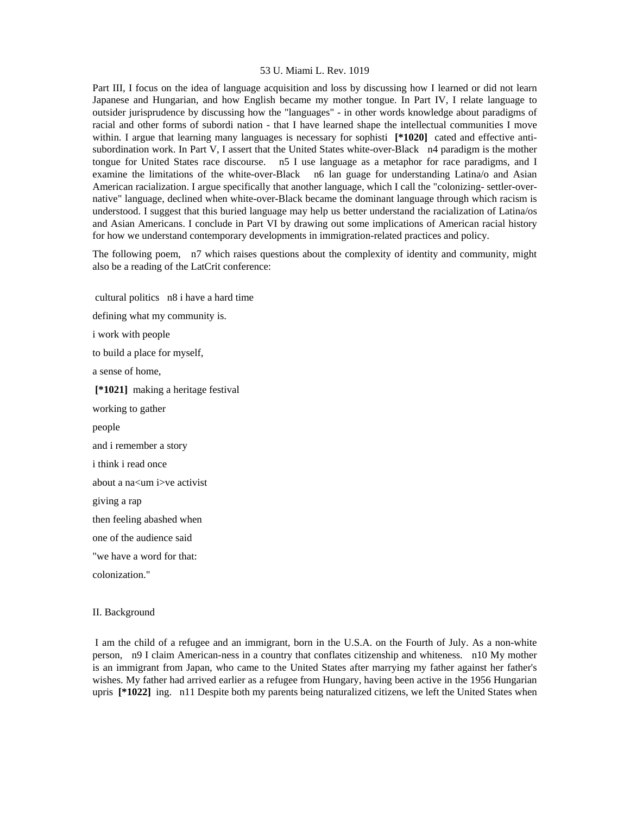Part III, I focus on the idea of language acquisition and loss by discussing how I learned or did not learn Japanese and Hungarian, and how English became my mother tongue. In Part IV, I relate language to outsider jurisprudence by discussing how the "languages" - in other words knowledge about paradigms of racial and other forms of subordi nation - that I have learned shape the intellectual communities I move within. I argue that learning many languages is necessary for sophisti [\*1020] cated and effective antisubordination work. In Part V, I assert that the United States white-over-Black n4 paradigm is the mother tongue for United States race discourse. n5 I use language as a metaphor for race paradigms, and I examine the limitations of the white-over-Black n6 lan guage for understanding Latina/o and Asian American racialization. I argue specifically that another language, which I call the "colonizing- settler-overnative" language, declined when white-over-Black became the dominant language through which racism is understood. I suggest that this buried language may help us better understand the racialization of Latina/os and Asian Americans. I conclude in Part VI by drawing out some implications of American racial history for how we understand contemporary developments in immigration-related practices and policy.

The following poem, n7 which raises questions about the complexity of identity and community, might also be a reading of the LatCrit conference:

 cultural politics n8 i have a hard time defining what my community is. i work with people to build a place for myself, a sense of home,  **[\*1021]** making a heritage festival working to gather people and i remember a story i think i read once about a na<um i>ve activist giving a rap then feeling abashed when one of the audience said "we have a word for that: colonization."

# II. Background

 I am the child of a refugee and an immigrant, born in the U.S.A. on the Fourth of July. As a non-white person, n9 I claim American-ness in a country that conflates citizenship and whiteness. n10 My mother is an immigrant from Japan, who came to the United States after marrying my father against her father's wishes. My father had arrived earlier as a refugee from Hungary, having been active in the 1956 Hungarian upris **[\*1022]** ing. n11 Despite both my parents being naturalized citizens, we left the United States when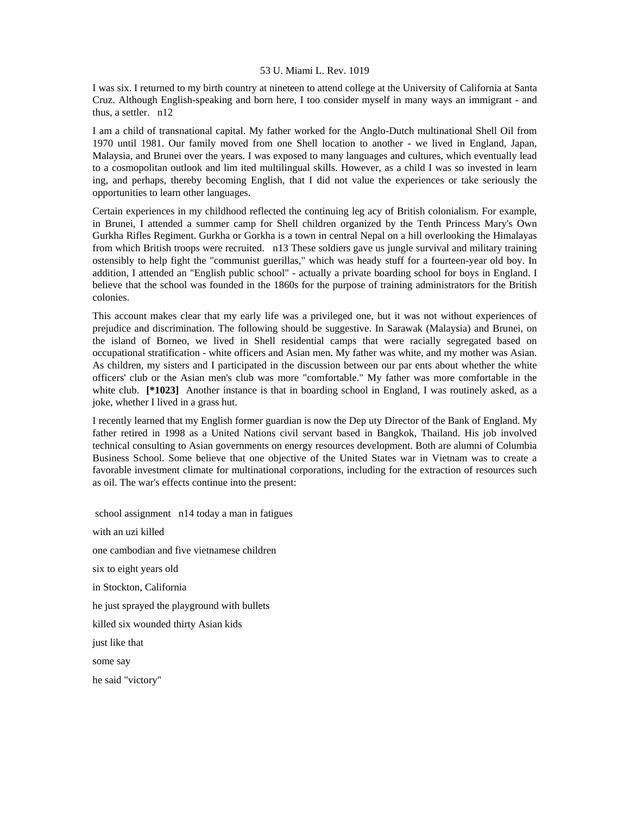I was six. I returned to my birth country at nineteen to attend college at the University of California at Santa Cruz. Although English-speaking and born here, I too consider myself in many ways an immigrant - and thus, a settler. n12

I am a child of transnational capital. My father worked for the Anglo-Dutch multinational Shell Oil from 1970 until 1981. Our family moved from one Shell location to another - we lived in England, Japan, Malaysia, and Brunei over the years. I was exposed to many languages and cultures, which eventually lead to a cosmopolitan outlook and lim ited multilingual skills. However, as a child I was so invested in learn ing, and perhaps, thereby becoming English, that I did not value the experiences or take seriously the opportunities to learn other languages.

Certain experiences in my childhood reflected the continuing leg acy of British colonialism. For example, in Brunei, I attended a summer camp for Shell children organized by the Tenth Princess Mary's Own Gurkha Rifles Regiment. Gurkha or Gorkha is a town in central Nepal on a hill overlooking the Himalayas from which British troops were recruited. n13 These soldiers gave us jungle survival and military training ostensibly to help fight the "communist guerillas," which was heady stuff for a fourteen-year old boy. In addition, I attended an "English public school" - actually a private boarding school for boys in England. I believe that the school was founded in the 1860s for the purpose of training administrators for the British colonies.

This account makes clear that my early life was a privileged one, but it was not without experiences of prejudice and discrimination. The following should be suggestive. In Sarawak (Malaysia) and Brunei, on the island of Borneo, we lived in Shell residential camps that were racially segregated based on occupational stratification - white officers and Asian men. My father was white, and my mother was Asian. As children, my sisters and I participated in the discussion between our par ents about whether the white officers' club or the Asian men's club was more "comfortable." My father was more comfortable in the white club. **[\*1023]** Another instance is that in boarding school in England, I was routinely asked, as a joke, whether I lived in a grass hut.

I recently learned that my English former guardian is now the Dep uty Director of the Bank of England. My father retired in 1998 as a United Nations civil servant based in Bangkok, Thailand. His job involved technical consulting to Asian governments on energy resources development. Both are alumni of Columbia Business School. Some believe that one objective of the United States war in Vietnam was to create a favorable investment climate for multinational corporations, including for the extraction of resources such as oil. The war's effects continue into the present:

 school assignment n14 today a man in fatigues with an uzi killed one cambodian and five vietnamese children six to eight years old in Stockton, California he just sprayed the playground with bullets killed six wounded thirty Asian kids just like that some say he said "victory"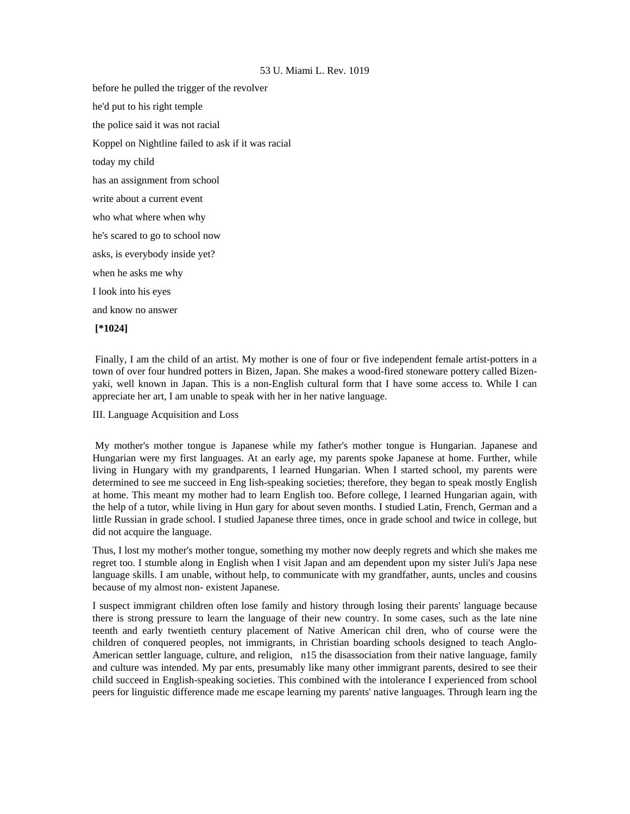before he pulled the trigger of the revolver he'd put to his right temple the police said it was not racial Koppel on Nightline failed to ask if it was racial today my child has an assignment from school write about a current event who what where when why he's scared to go to school now asks, is everybody inside yet? when he asks me why I look into his eyes and know no answer  **[\*1024]** 

 Finally, I am the child of an artist. My mother is one of four or five independent female artist-potters in a town of over four hundred potters in Bizen, Japan. She makes a wood-fired stoneware pottery called Bizenyaki, well known in Japan. This is a non-English cultural form that I have some access to. While I can appreciate her art, I am unable to speak with her in her native language.

III. Language Acquisition and Loss

 My mother's mother tongue is Japanese while my father's mother tongue is Hungarian. Japanese and Hungarian were my first languages. At an early age, my parents spoke Japanese at home. Further, while living in Hungary with my grandparents, I learned Hungarian. When I started school, my parents were determined to see me succeed in Eng lish-speaking societies; therefore, they began to speak mostly English at home. This meant my mother had to learn English too. Before college, I learned Hungarian again, with the help of a tutor, while living in Hun gary for about seven months. I studied Latin, French, German and a little Russian in grade school. I studied Japanese three times, once in grade school and twice in college, but did not acquire the language.

Thus, I lost my mother's mother tongue, something my mother now deeply regrets and which she makes me regret too. I stumble along in English when I visit Japan and am dependent upon my sister Juli's Japa nese language skills. I am unable, without help, to communicate with my grandfather, aunts, uncles and cousins because of my almost non- existent Japanese.

I suspect immigrant children often lose family and history through losing their parents' language because there is strong pressure to learn the language of their new country. In some cases, such as the late nine teenth and early twentieth century placement of Native American chil dren, who of course were the children of conquered peoples, not immigrants, in Christian boarding schools designed to teach Anglo-American settler language, culture, and religion, n15 the disassociation from their native language, family and culture was intended. My par ents, presumably like many other immigrant parents, desired to see their child succeed in English-speaking societies. This combined with the intolerance I experienced from school peers for linguistic difference made me escape learning my parents' native languages. Through learn ing the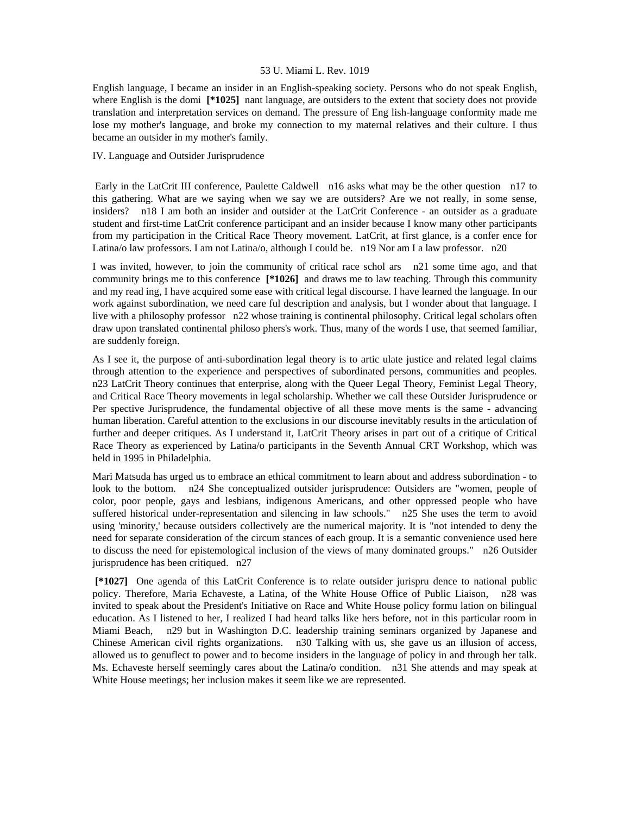English language, I became an insider in an English-speaking society. Persons who do not speak English, where English is the domi **[\*1025]** nant language, are outsiders to the extent that society does not provide translation and interpretation services on demand. The pressure of Eng lish-language conformity made me lose my mother's language, and broke my connection to my maternal relatives and their culture. I thus became an outsider in my mother's family.

# IV. Language and Outsider Jurisprudence

 Early in the LatCrit III conference, Paulette Caldwell n16 asks what may be the other question n17 to this gathering. What are we saying when we say we are outsiders? Are we not really, in some sense, insiders? n18 I am both an insider and outsider at the LatCrit Conference - an outsider as a graduate student and first-time LatCrit conference participant and an insider because I know many other participants from my participation in the Critical Race Theory movement. LatCrit, at first glance, is a confer ence for Latina/o law professors. I am not Latina/o, although I could be. n19 Nor am I a law professor. n20

I was invited, however, to join the community of critical race schol ars n21 some time ago, and that community brings me to this conference **[\*1026]** and draws me to law teaching. Through this community and my read ing, I have acquired some ease with critical legal discourse. I have learned the language. In our work against subordination, we need care ful description and analysis, but I wonder about that language. I live with a philosophy professor n22 whose training is continental philosophy. Critical legal scholars often draw upon translated continental philoso phers's work. Thus, many of the words I use, that seemed familiar, are suddenly foreign.

As I see it, the purpose of anti-subordination legal theory is to artic ulate justice and related legal claims through attention to the experience and perspectives of subordinated persons, communities and peoples. n23 LatCrit Theory continues that enterprise, along with the Queer Legal Theory, Feminist Legal Theory, and Critical Race Theory movements in legal scholarship. Whether we call these Outsider Jurisprudence or Per spective Jurisprudence, the fundamental objective of all these move ments is the same - advancing human liberation. Careful attention to the exclusions in our discourse inevitably results in the articulation of further and deeper critiques. As I understand it, LatCrit Theory arises in part out of a critique of Critical Race Theory as experienced by Latina/o participants in the Seventh Annual CRT Workshop, which was held in 1995 in Philadelphia.

Mari Matsuda has urged us to embrace an ethical commitment to learn about and address subordination - to look to the bottom. n24 She conceptualized outsider jurisprudence: Outsiders are "women, people of color, poor people, gays and lesbians, indigenous Americans, and other oppressed people who have suffered historical under-representation and silencing in law schools." n25 She uses the term to avoid using 'minority,' because outsiders collectively are the numerical majority. It is "not intended to deny the need for separate consideration of the circum stances of each group. It is a semantic convenience used here to discuss the need for epistemological inclusion of the views of many dominated groups." n26 Outsider jurisprudence has been critiqued. n27

 **[\*1027]** One agenda of this LatCrit Conference is to relate outsider jurispru dence to national public policy. Therefore, Maria Echaveste, a Latina, of the White House Office of Public Liaison, n28 was invited to speak about the President's Initiative on Race and White House policy formu lation on bilingual education. As I listened to her, I realized I had heard talks like hers before, not in this particular room in Miami Beach, n29 but in Washington D.C. leadership training seminars organized by Japanese and Chinese American civil rights organizations. n30 Talking with us, she gave us an illusion of access, allowed us to genuflect to power and to become insiders in the language of policy in and through her talk. Ms. Echaveste herself seemingly cares about the Latina/o condition. n31 She attends and may speak at White House meetings; her inclusion makes it seem like we are represented.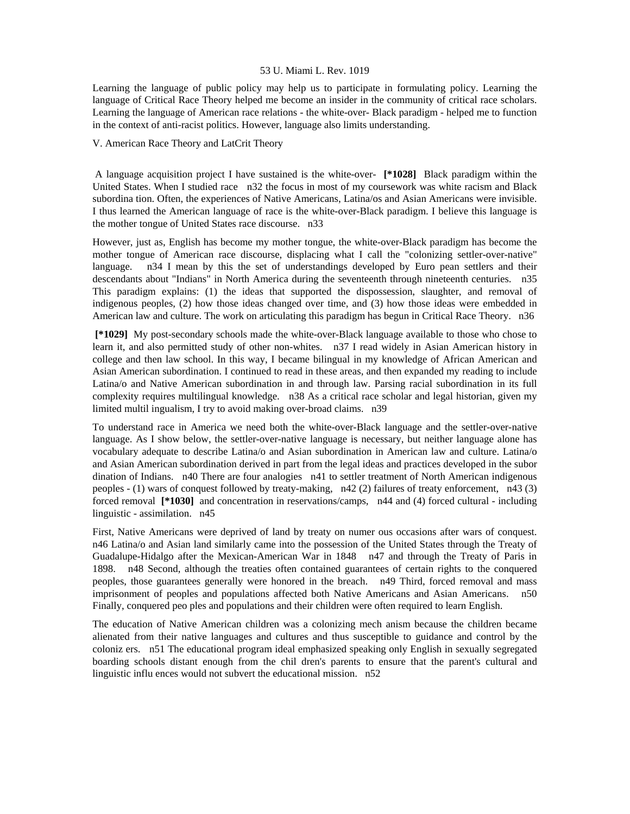Learning the language of public policy may help us to participate in formulating policy. Learning the language of Critical Race Theory helped me become an insider in the community of critical race scholars. Learning the language of American race relations - the white-over- Black paradigm - helped me to function in the context of anti-racist politics. However, language also limits understanding.

# V. American Race Theory and LatCrit Theory

 A language acquisition project I have sustained is the white-over- **[\*1028]** Black paradigm within the United States. When I studied race n32 the focus in most of my coursework was white racism and Black subordina tion. Often, the experiences of Native Americans, Latina/os and Asian Americans were invisible. I thus learned the American language of race is the white-over-Black paradigm. I believe this language is the mother tongue of United States race discourse. n33

However, just as, English has become my mother tongue, the white-over-Black paradigm has become the mother tongue of American race discourse, displacing what I call the "colonizing settler-over-native" language. n34 I mean by this the set of understandings developed by Euro pean settlers and their descendants about "Indians" in North America during the seventeenth through nineteenth centuries. n35 This paradigm explains: (1) the ideas that supported the dispossession, slaughter, and removal of indigenous peoples, (2) how those ideas changed over time, and (3) how those ideas were embedded in American law and culture. The work on articulating this paradigm has begun in Critical Race Theory. n36

 **[\*1029]** My post-secondary schools made the white-over-Black language available to those who chose to learn it, and also permitted study of other non-whites. n37 I read widely in Asian American history in college and then law school. In this way, I became bilingual in my knowledge of African American and Asian American subordination. I continued to read in these areas, and then expanded my reading to include Latina/o and Native American subordination in and through law. Parsing racial subordination in its full complexity requires multilingual knowledge. n38 As a critical race scholar and legal historian, given my limited multil ingualism, I try to avoid making over-broad claims. n39

To understand race in America we need both the white-over-Black language and the settler-over-native language. As I show below, the settler-over-native language is necessary, but neither language alone has vocabulary adequate to describe Latina/o and Asian subordination in American law and culture. Latina/o and Asian American subordination derived in part from the legal ideas and practices developed in the subor dination of Indians. n40 There are four analogies n41 to settler treatment of North American indigenous peoples - (1) wars of conquest followed by treaty-making, n42 (2) failures of treaty enforcement, n43 (3) forced removal **[\*1030]** and concentration in reservations/camps, n44 and (4) forced cultural - including linguistic - assimilation. n45

First, Native Americans were deprived of land by treaty on numer ous occasions after wars of conquest. n46 Latina/o and Asian land similarly came into the possession of the United States through the Treaty of Guadalupe-Hidalgo after the Mexican-American War in 1848 n47 and through the Treaty of Paris in 1898. n48 Second, although the treaties often contained guarantees of certain rights to the conquered peoples, those guarantees generally were honored in the breach. n49 Third, forced removal and mass imprisonment of peoples and populations affected both Native Americans and Asian Americans. n50 Finally, conquered peo ples and populations and their children were often required to learn English.

The education of Native American children was a colonizing mech anism because the children became alienated from their native languages and cultures and thus susceptible to guidance and control by the coloniz ers. n51 The educational program ideal emphasized speaking only English in sexually segregated boarding schools distant enough from the chil dren's parents to ensure that the parent's cultural and linguistic influ ences would not subvert the educational mission. n52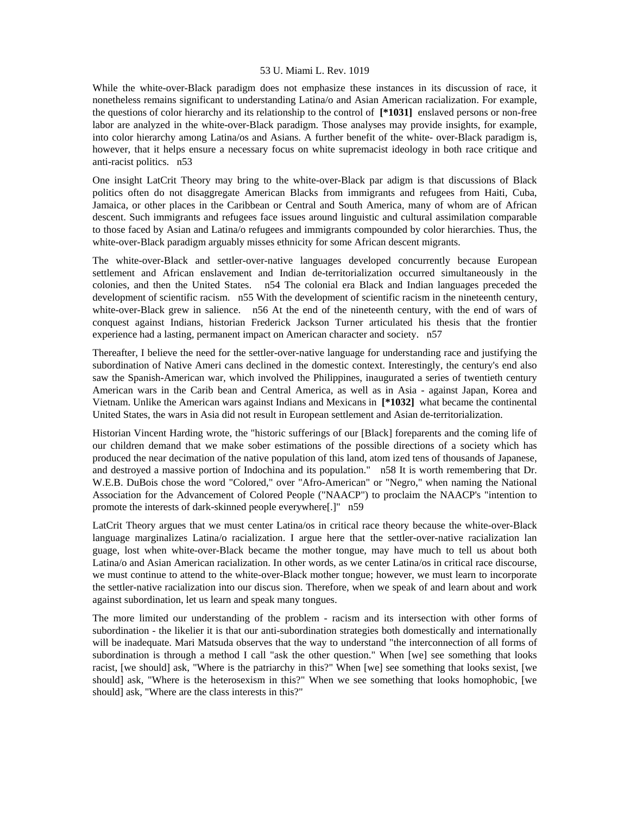While the white-over-Black paradigm does not emphasize these instances in its discussion of race, it nonetheless remains significant to understanding Latina/o and Asian American racialization. For example, the questions of color hierarchy and its relationship to the control of **[\*1031]** enslaved persons or non-free labor are analyzed in the white-over-Black paradigm. Those analyses may provide insights, for example, into color hierarchy among Latina/os and Asians. A further benefit of the white- over-Black paradigm is, however, that it helps ensure a necessary focus on white supremacist ideology in both race critique and anti-racist politics. n53

One insight LatCrit Theory may bring to the white-over-Black par adigm is that discussions of Black politics often do not disaggregate American Blacks from immigrants and refugees from Haiti, Cuba, Jamaica, or other places in the Caribbean or Central and South America, many of whom are of African descent. Such immigrants and refugees face issues around linguistic and cultural assimilation comparable to those faced by Asian and Latina/o refugees and immigrants compounded by color hierarchies. Thus, the white-over-Black paradigm arguably misses ethnicity for some African descent migrants.

The white-over-Black and settler-over-native languages developed concurrently because European settlement and African enslavement and Indian de-territorialization occurred simultaneously in the colonies, and then the United States. n54 The colonial era Black and Indian languages preceded the development of scientific racism. n55 With the development of scientific racism in the nineteenth century, white-over-Black grew in salience. n56 At the end of the nineteenth century, with the end of wars of conquest against Indians, historian Frederick Jackson Turner articulated his thesis that the frontier experience had a lasting, permanent impact on American character and society. n57

Thereafter, I believe the need for the settler-over-native language for understanding race and justifying the subordination of Native Ameri cans declined in the domestic context. Interestingly, the century's end also saw the Spanish-American war, which involved the Philippines, inaugurated a series of twentieth century American wars in the Carib bean and Central America, as well as in Asia - against Japan, Korea and Vietnam. Unlike the American wars against Indians and Mexicans in **[\*1032]** what became the continental United States, the wars in Asia did not result in European settlement and Asian de-territorialization.

Historian Vincent Harding wrote, the "historic sufferings of our [Black] foreparents and the coming life of our children demand that we make sober estimations of the possible directions of a society which has produced the near decimation of the native population of this land, atom ized tens of thousands of Japanese, and destroyed a massive portion of Indochina and its population." n58 It is worth remembering that Dr. W.E.B. DuBois chose the word "Colored," over "Afro-American" or "Negro," when naming the National Association for the Advancement of Colored People ("NAACP") to proclaim the NAACP's "intention to promote the interests of dark-skinned people everywhere[.]" n59

LatCrit Theory argues that we must center Latina/os in critical race theory because the white-over-Black language marginalizes Latina/o racialization. I argue here that the settler-over-native racialization lan guage, lost when white-over-Black became the mother tongue, may have much to tell us about both Latina/o and Asian American racialization. In other words, as we center Latina/os in critical race discourse, we must continue to attend to the white-over-Black mother tongue; however, we must learn to incorporate the settler-native racialization into our discus sion. Therefore, when we speak of and learn about and work against subordination, let us learn and speak many tongues.

The more limited our understanding of the problem - racism and its intersection with other forms of subordination - the likelier it is that our anti-subordination strategies both domestically and internationally will be inadequate. Mari Matsuda observes that the way to understand "the interconnection of all forms of subordination is through a method I call "ask the other question." When [we] see something that looks racist, [we should] ask, "Where is the patriarchy in this?" When [we] see something that looks sexist, [we should] ask, "Where is the heterosexism in this?" When we see something that looks homophobic, [we should] ask, "Where are the class interests in this?"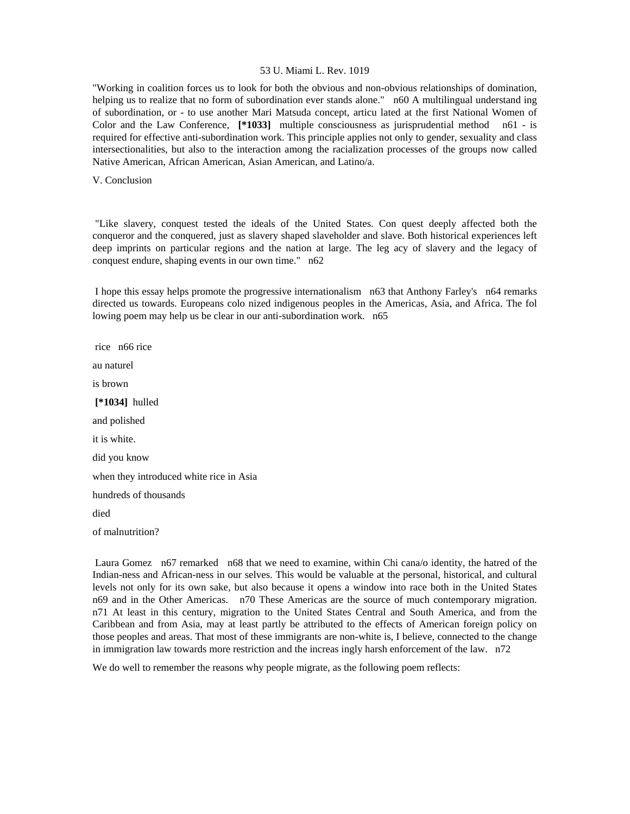"Working in coalition forces us to look for both the obvious and non-obvious relationships of domination, helping us to realize that no form of subordination ever stands alone." n60 A multilingual understand ing of subordination, or - to use another Mari Matsuda concept, articu lated at the first National Women of Color and the Law Conference, **[\*1033]** multiple consciousness as jurisprudential method n61 - is required for effective anti-subordination work. This principle applies not only to gender, sexuality and class intersectionalities, but also to the interaction among the racialization processes of the groups now called Native American, African American, Asian American, and Latino/a.

V. Conclusion

 "Like slavery, conquest tested the ideals of the United States. Con quest deeply affected both the conqueror and the conquered, just as slavery shaped slaveholder and slave. Both historical experiences left deep imprints on particular regions and the nation at large. The leg acy of slavery and the legacy of conquest endure, shaping events in our own time." n62

 I hope this essay helps promote the progressive internationalism n63 that Anthony Farley's n64 remarks directed us towards. Europeans colo nized indigenous peoples in the Americas, Asia, and Africa. The fol lowing poem may help us be clear in our anti-subordination work. n65

 rice n66 rice au naturel is brown  **[\*1034]** hulled and polished it is white. did you know when they introduced white rice in Asia hundreds of thousands died of malnutrition?

 Laura Gomez n67 remarked n68 that we need to examine, within Chi cana/o identity, the hatred of the Indian-ness and African-ness in our selves. This would be valuable at the personal, historical, and cultural levels not only for its own sake, but also because it opens a window into race both in the United States n69 and in the Other Americas. n70 These Americas are the source of much contemporary migration. n71 At least in this century, migration to the United States Central and South America, and from the Caribbean and from Asia, may at least partly be attributed to the effects of American foreign policy on those peoples and areas. That most of these immigrants are non-white is, I believe, connected to the change in immigration law towards more restriction and the increas ingly harsh enforcement of the law. n72

We do well to remember the reasons why people migrate, as the following poem reflects: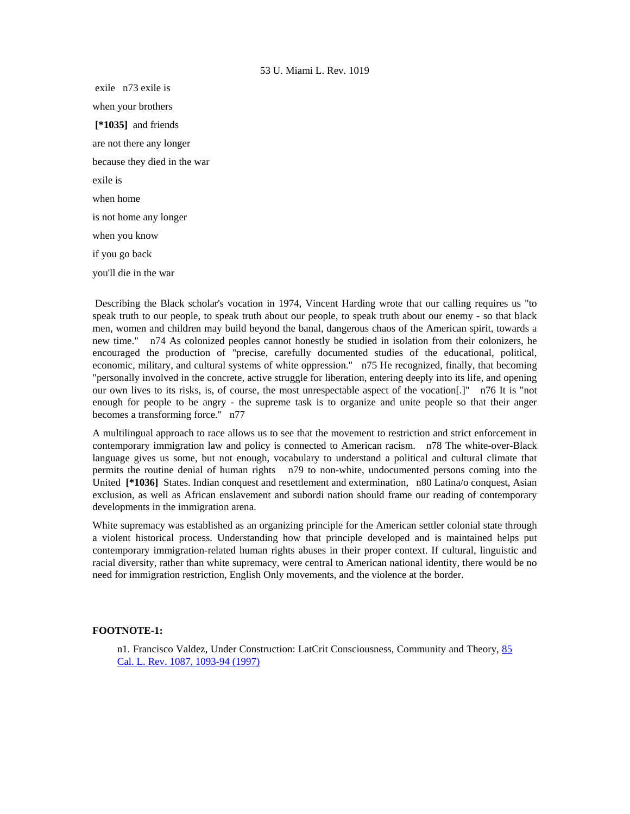exile n73 exile is when your brothers  **[\*1035]** and friends are not there any longer because they died in the war exile is when home is not home any longer when you know if you go back you'll die in the war

 Describing the Black scholar's vocation in 1974, Vincent Harding wrote that our calling requires us "to speak truth to our people, to speak truth about our people, to speak truth about our enemy - so that black men, women and children may build beyond the banal, dangerous chaos of the American spirit, towards a new time." n74 As colonized peoples cannot honestly be studied in isolation from their colonizers, he encouraged the production of "precise, carefully documented studies of the educational, political, economic, military, and cultural systems of white oppression." n75 He recognized, finally, that becoming "personally involved in the concrete, active struggle for liberation, entering deeply into its life, and opening our own lives to its risks, is, of course, the most unrespectable aspect of the vocation[.]" n76 It is "not enough for people to be angry - the supreme task is to organize and unite people so that their anger becomes a transforming force." n77

A multilingual approach to race allows us to see that the movement to restriction and strict enforcement in contemporary immigration law and policy is connected to American racism. n78 The white-over-Black language gives us some, but not enough, vocabulary to understand a political and cultural climate that permits the routine denial of human rights n79 to non-white, undocumented persons coming into the United **[\*1036]** States. Indian conquest and resettlement and extermination, n80 Latina/o conquest, Asian exclusion, as well as African enslavement and subordi nation should frame our reading of contemporary developments in the immigration arena.

White supremacy was established as an organizing principle for the American settler colonial state through a violent historical process. Understanding how that principle developed and is maintained helps put contemporary immigration-related human rights abuses in their proper context. If cultural, linguistic and racial diversity, rather than white supremacy, were central to American national identity, there would be no need for immigration restriction, English Only movements, and the violence at the border.

# **FOOTNOTE-1:**

n1. Francisco Valdez, Under Construction: LatCrit Consciousness, Community and Theory, [85](http://www.lexis.com/research/xlink?searchtype=get&search=85%20Calif.%20L.%20Rev.%201087,at%201093)  [Cal. L. Rev. 1087, 1093-94 \(1997\)](http://www.lexis.com/research/xlink?searchtype=get&search=85%20Calif.%20L.%20Rev.%201087,at%201093)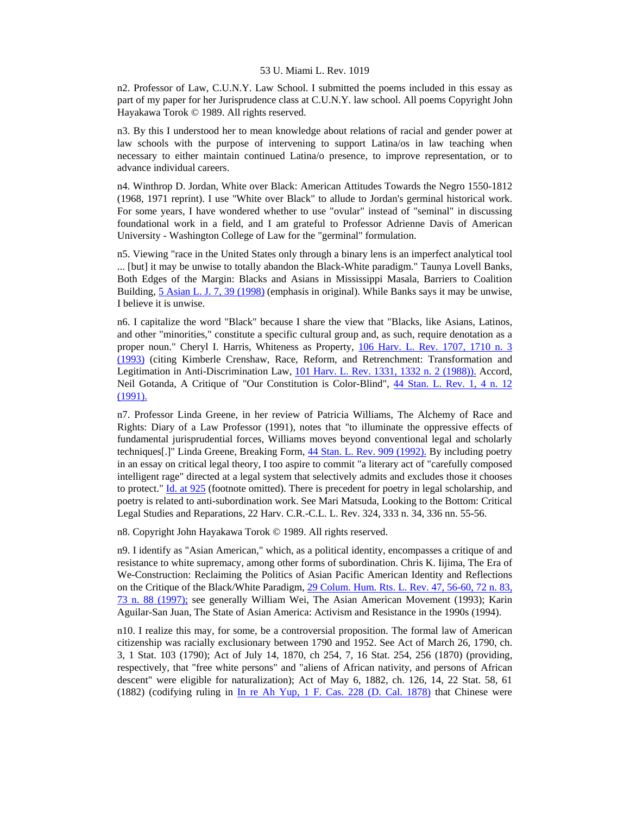n2. Professor of Law, C.U.N.Y. Law School. I submitted the poems included in this essay as part of my paper for her Jurisprudence class at C.U.N.Y. law school. All poems Copyright John Hayakawa Torok © 1989. All rights reserved.

n3. By this I understood her to mean knowledge about relations of racial and gender power at law schools with the purpose of intervening to support Latina/os in law teaching when necessary to either maintain continued Latina/o presence, to improve representation, or to advance individual careers.

n4. Winthrop D. Jordan, White over Black: American Attitudes Towards the Negro 1550-1812 (1968, 1971 reprint). I use "White over Black" to allude to Jordan's germinal historical work. For some years, I have wondered whether to use "ovular" instead of "seminal" in discussing foundational work in a field, and I am grateful to Professor Adrienne Davis of American University - Washington College of Law for the "germinal" formulation.

n5. Viewing "race in the United States only through a binary lens is an imperfect analytical tool ... [but] it may be unwise to totally abandon the Black-White paradigm." Taunya Lovell Banks, Both Edges of the Margin: Blacks and Asians in Mississippi Masala, Barriers to Coalition Building, [5 Asian L. J. 7, 39 \(1998\)](http://www.lexis.com/research/xlink?searchtype=get&search=5%20Asian%20L.J.%207,at%2039) (emphasis in original). While Banks says it may be unwise, I believe it is unwise.

n6. I capitalize the word "Black" because I share the view that "Blacks, like Asians, Latinos, and other "minorities," constitute a specific cultural group and, as such, require denotation as a proper noun." Cheryl I. Harris, Whiteness as Property, [106 Harv. L. Rev. 1707, 1710 n. 3](http://www.lexis.com/research/xlink?searchtype=get&search=106%20Harv.%20L.%20Rev.%201707,at%201710)  [\(1993\)](http://www.lexis.com/research/xlink?searchtype=get&search=106%20Harv.%20L.%20Rev.%201707,at%201710) (citing Kimberle Crenshaw, Race, Reform, and Retrenchment: Transformation and Legitimation in Anti-Discrimination Law, [101 Harv. L. Rev. 1331, 1332 n. 2 \(1988\)\).](http://www.lexis.com/research/xlink?searchtype=get&search=101%20Harv.%20L.%20Rev.%201331,at%201332) Accord, Neil Gotanda, A Critique of "Our Constitution is Color-Blind", [44 Stan. L. Rev. 1, 4 n. 12](http://www.lexis.com/research/xlink?searchtype=get&search=44%20Stan.%20L.%20Rev.%201,at%204)  [\(1991\).](http://www.lexis.com/research/xlink?searchtype=get&search=44%20Stan.%20L.%20Rev.%201,at%204)

n7. Professor Linda Greene, in her review of Patricia Williams, The Alchemy of Race and Rights: Diary of a Law Professor (1991), notes that "to illuminate the oppressive effects of fundamental jurisprudential forces, Williams moves beyond conventional legal and scholarly techniques[.]" Linda Greene, Breaking Form, [44 Stan. L. Rev. 909 \(1992\).](http://www.lexis.com/research/xlink?searchtype=get&search=44%20Stan.%20L.%20Rev.%20909) By including poetry in an essay on critical legal theory, I too aspire to commit "a literary act of "carefully composed intelligent rage" directed at a legal system that selectively admits and excludes those it chooses to protect." [Id. at 925](http://www.lexis.com/research/xlink?searchtype=get&search=44%20Stan.%20L.%20Rev.%20909,at%20925) (footnote omitted). There is precedent for poetry in legal scholarship, and poetry is related to anti-subordination work. See Mari Matsuda, Looking to the Bottom: Critical Legal Studies and Reparations, 22 Harv. C.R.-C.L. L. Rev. 324, 333 n. 34, 336 nn. 55-56.

n8. Copyright John Hayakawa Torok © 1989. All rights reserved.

n9. I identify as "Asian American," which, as a political identity, encompasses a critique of and resistance to white supremacy, among other forms of subordination. Chris K. Iijima, The Era of We-Construction: Reclaiming the Politics of Asian Pacific American Identity and Reflections on the Critique of the Black/White Paradigm, [29 Colum. Hum. Rts. L. Rev. 47, 56-60, 72 n. 83,](http://www.lexis.com/research/xlink?searchtype=get&search=29%20Colum.%20Human%20Rights%20L.%20Rev.%2047,at%2056)  [73 n. 88 \(1997\);](http://www.lexis.com/research/xlink?searchtype=get&search=29%20Colum.%20Human%20Rights%20L.%20Rev.%2047,at%2056) see generally William Wei, The Asian American Movement (1993); Karin Aguilar-San Juan, The State of Asian America: Activism and Resistance in the 1990s (1994).

n10. I realize this may, for some, be a controversial proposition. The formal law of American citizenship was racially exclusionary between 1790 and 1952. See Act of March 26, 1790, ch. 3, 1 Stat. 103 (1790); Act of July 14, 1870, ch 254, 7, 16 Stat. 254, 256 (1870) (providing, respectively, that "free white persons" and "aliens of African nativity, and persons of African descent" were eligible for naturalization); Act of May 6, 1882, ch. 126, 14, 22 Stat. 58, 61 (1882) (codifying ruling in [In re Ah Yup, 1 F. Cas. 228 \(D. Cal. 1878\)](http://www.lexis.com/research/xlink?searchtype=get&search=1%20F.%20Cas.%20228) that Chinese were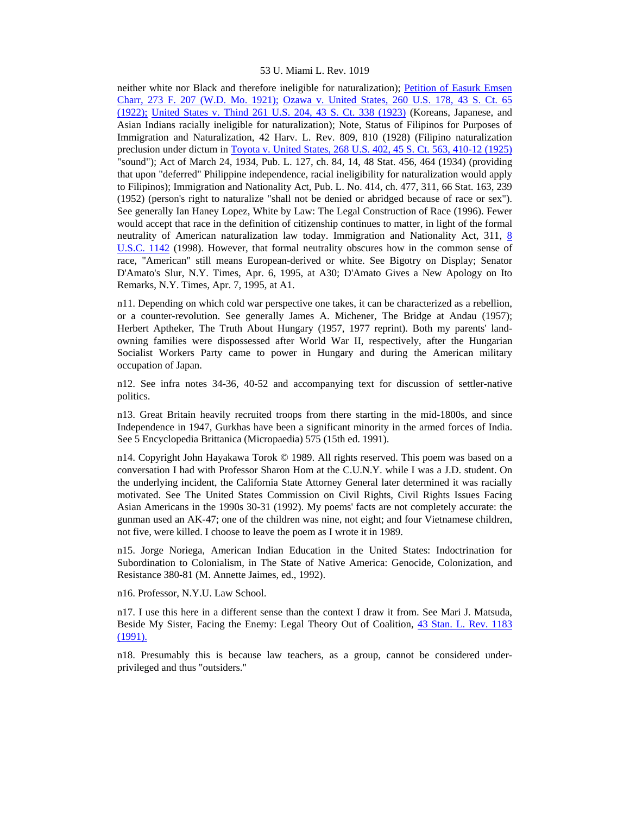neither white nor Black and therefore ineligible for naturalization); [Petition of Easurk Emsen](http://www.lexis.com/research/xlink?searchtype=get&search=273%20F.%20207)  [Charr, 273 F. 207 \(W.D. Mo. 1921\);](http://www.lexis.com/research/xlink?searchtype=get&search=273%20F.%20207) [Ozawa v. United States, 260 U.S. 178, 43 S. Ct. 65](http://www.lexis.com/research/xlink?searchtype=get&search=260%20U.S.%20178)  [\(1922\);](http://www.lexis.com/research/xlink?searchtype=get&search=260%20U.S.%20178) [United States v. Thind 261 U.S. 204, 43 S. Ct. 338 \(1923\)](http://www.lexis.com/research/xlink?searchtype=get&search=261%20U.S.%20204) (Koreans, Japanese, and Asian Indians racially ineligible for naturalization); Note, Status of Filipinos for Purposes of Immigration and Naturalization, 42 Harv. L. Rev. 809, 810 (1928) (Filipino naturalization preclusion under dictum in [Toyota v. United States, 268 U.S. 402, 45 S. Ct. 563, 410-12 \(1925\)](http://www.lexis.com/research/xlink?searchtype=get&search=268%20U.S.%20402) "sound"); Act of March 24, 1934, Pub. L. 127, ch. 84, 14, 48 Stat. 456, 464 (1934) (providing that upon "deferred" Philippine independence, racial ineligibility for naturalization would apply to Filipinos); Immigration and Nationality Act, Pub. L. No. 414, ch. 477, 311, 66 Stat. 163, 239 (1952) (person's right to naturalize "shall not be denied or abridged because of race or sex"). See generally Ian Haney Lopez, White by Law: The Legal Construction of Race (1996). Fewer would accept that race in the definition of citizenship continues to matter, in light of the formal neutrality of American naturalization law today. Immigration and Nationality Act, 311, [8](http://www.lexis.com/research/xlink?searchtype=get&search=8%20USC%201142)  [U.S.C. 1142](http://www.lexis.com/research/xlink?searchtype=get&search=8%20USC%201142) (1998). However, that formal neutrality obscures how in the common sense of race, "American" still means European-derived or white. See Bigotry on Display; Senator D'Amato's Slur, N.Y. Times, Apr. 6, 1995, at A30; D'Amato Gives a New Apology on Ito Remarks, N.Y. Times, Apr. 7, 1995, at A1.

n11. Depending on which cold war perspective one takes, it can be characterized as a rebellion, or a counter-revolution. See generally James A. Michener, The Bridge at Andau (1957); Herbert Aptheker, The Truth About Hungary (1957, 1977 reprint). Both my parents' landowning families were dispossessed after World War II, respectively, after the Hungarian Socialist Workers Party came to power in Hungary and during the American military occupation of Japan.

n12. See infra notes 34-36, 40-52 and accompanying text for discussion of settler-native politics.

n13. Great Britain heavily recruited troops from there starting in the mid-1800s, and since Independence in 1947, Gurkhas have been a significant minority in the armed forces of India. See 5 Encyclopedia Brittanica (Micropaedia) 575 (15th ed. 1991).

n14. Copyright John Hayakawa Torok © 1989. All rights reserved. This poem was based on a conversation I had with Professor Sharon Hom at the C.U.N.Y. while I was a J.D. student. On the underlying incident, the California State Attorney General later determined it was racially motivated. See The United States Commission on Civil Rights, Civil Rights Issues Facing Asian Americans in the 1990s 30-31 (1992). My poems' facts are not completely accurate: the gunman used an AK-47; one of the children was nine, not eight; and four Vietnamese children, not five, were killed. I choose to leave the poem as I wrote it in 1989.

n15. Jorge Noriega, American Indian Education in the United States: Indoctrination for Subordination to Colonialism, in The State of Native America: Genocide, Colonization, and Resistance 380-81 (M. Annette Jaimes, ed., 1992).

n16. Professor, N.Y.U. Law School.

n17. I use this here in a different sense than the context I draw it from. See Mari J. Matsuda, Beside My Sister, Facing the Enemy: Legal Theory Out of Coalition, [43 Stan. L. Rev. 1183](http://www.lexis.com/research/xlink?searchtype=get&search=43%20Stan.%20L.%20Rev.%201183)  [\(1991\).](http://www.lexis.com/research/xlink?searchtype=get&search=43%20Stan.%20L.%20Rev.%201183)

n18. Presumably this is because law teachers, as a group, cannot be considered underprivileged and thus "outsiders."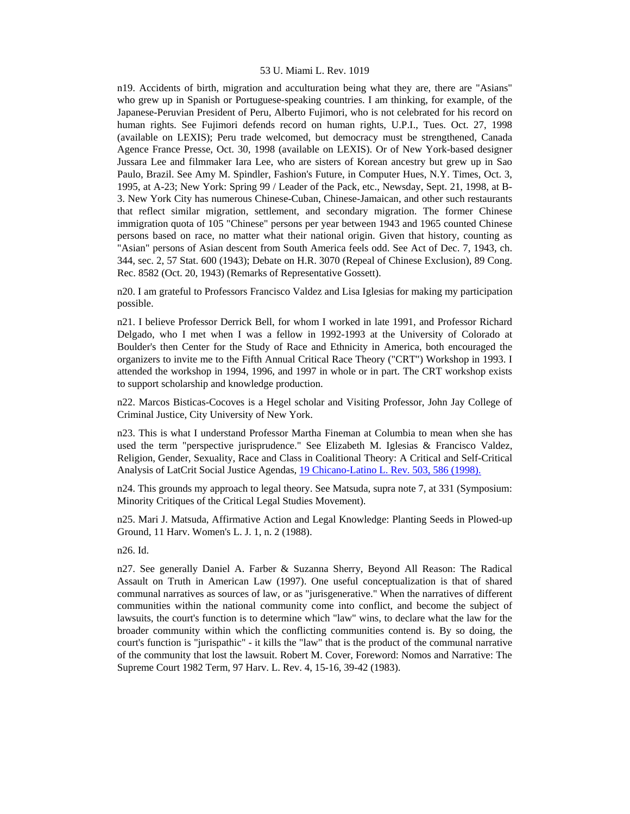n19. Accidents of birth, migration and acculturation being what they are, there are "Asians" who grew up in Spanish or Portuguese-speaking countries. I am thinking, for example, of the Japanese-Peruvian President of Peru, Alberto Fujimori, who is not celebrated for his record on human rights. See Fujimori defends record on human rights, U.P.I., Tues. Oct. 27, 1998 (available on LEXIS); Peru trade welcomed, but democracy must be strengthened, Canada Agence France Presse, Oct. 30, 1998 (available on LEXIS). Or of New York-based designer Jussara Lee and filmmaker Iara Lee, who are sisters of Korean ancestry but grew up in Sao Paulo, Brazil. See Amy M. Spindler, Fashion's Future, in Computer Hues, N.Y. Times, Oct. 3, 1995, at A-23; New York: Spring 99 / Leader of the Pack, etc., Newsday, Sept. 21, 1998, at B-3. New York City has numerous Chinese-Cuban, Chinese-Jamaican, and other such restaurants that reflect similar migration, settlement, and secondary migration. The former Chinese immigration quota of 105 "Chinese" persons per year between 1943 and 1965 counted Chinese persons based on race, no matter what their national origin. Given that history, counting as "Asian" persons of Asian descent from South America feels odd. See Act of Dec. 7, 1943, ch. 344, sec. 2, 57 Stat. 600 (1943); Debate on H.R. 3070 (Repeal of Chinese Exclusion), 89 Cong. Rec. 8582 (Oct. 20, 1943) (Remarks of Representative Gossett).

n20. I am grateful to Professors Francisco Valdez and Lisa Iglesias for making my participation possible.

n21. I believe Professor Derrick Bell, for whom I worked in late 1991, and Professor Richard Delgado, who I met when I was a fellow in 1992-1993 at the University of Colorado at Boulder's then Center for the Study of Race and Ethnicity in America, both encouraged the organizers to invite me to the Fifth Annual Critical Race Theory ("CRT") Workshop in 1993. I attended the workshop in 1994, 1996, and 1997 in whole or in part. The CRT workshop exists to support scholarship and knowledge production.

n22. Marcos Bisticas-Cocoves is a Hegel scholar and Visiting Professor, John Jay College of Criminal Justice, City University of New York.

n23. This is what I understand Professor Martha Fineman at Columbia to mean when she has used the term "perspective jurisprudence." See Elizabeth M. Iglesias & Francisco Valdez, Religion, Gender, Sexuality, Race and Class in Coalitional Theory: A Critical and Self-Critical Analysis of LatCrit Social Justice Agendas, [19 Chicano-Latino L. Rev. 503, 586 \(1998\).](http://www.lexis.com/research/xlink?searchtype=get&search=19%20Chicano-Latino%20L.%20Rev.%20503,at%20586)

n24. This grounds my approach to legal theory. See Matsuda, supra note 7, at 331 (Symposium: Minority Critiques of the Critical Legal Studies Movement).

n25. Mari J. Matsuda, Affirmative Action and Legal Knowledge: Planting Seeds in Plowed-up Ground, 11 Harv. Women's L. J. 1, n. 2 (1988).

n26. Id.

n27. See generally Daniel A. Farber & Suzanna Sherry, Beyond All Reason: The Radical Assault on Truth in American Law (1997). One useful conceptualization is that of shared communal narratives as sources of law, or as "jurisgenerative." When the narratives of different communities within the national community come into conflict, and become the subject of lawsuits, the court's function is to determine which "law" wins, to declare what the law for the broader community within which the conflicting communities contend is. By so doing, the court's function is "jurispathic" - it kills the "law" that is the product of the communal narrative of the community that lost the lawsuit. Robert M. Cover, Foreword: Nomos and Narrative: The Supreme Court 1982 Term, 97 Harv. L. Rev. 4, 15-16, 39-42 (1983).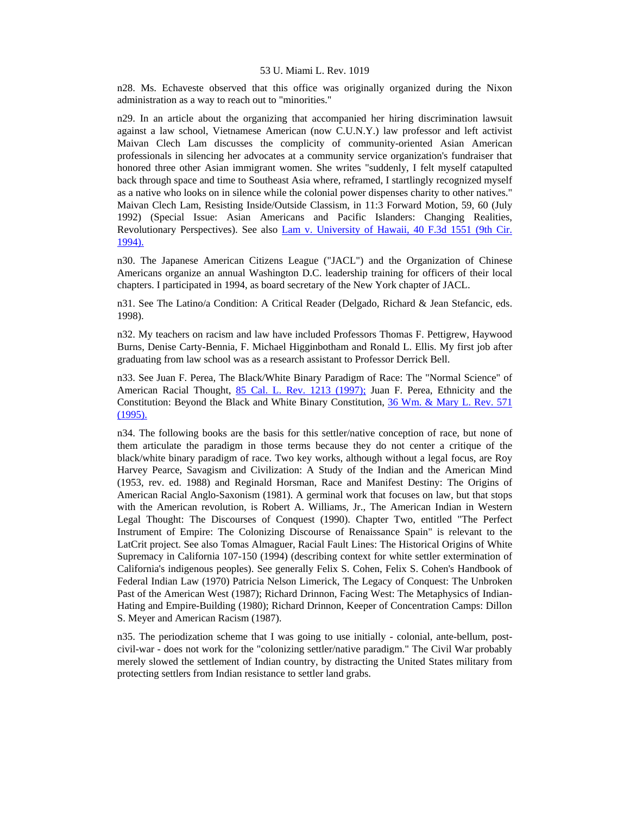n28. Ms. Echaveste observed that this office was originally organized during the Nixon administration as a way to reach out to "minorities."

n29. In an article about the organizing that accompanied her hiring discrimination lawsuit against a law school, Vietnamese American (now C.U.N.Y.) law professor and left activist Maivan Clech Lam discusses the complicity of community-oriented Asian American professionals in silencing her advocates at a community service organization's fundraiser that honored three other Asian immigrant women. She writes "suddenly, I felt myself catapulted back through space and time to Southeast Asia where, reframed, I startlingly recognized myself as a native who looks on in silence while the colonial power dispenses charity to other natives." Maivan Clech Lam, Resisting Inside/Outside Classism, in 11:3 Forward Motion, 59, 60 (July 1992) (Special Issue: Asian Americans and Pacific Islanders: Changing Realities, Revolutionary Perspectives). See also [Lam v. University of Hawaii, 40 F.3d 1551 \(9th Cir.](http://www.lexis.com/research/xlink?searchtype=get&search=40%20F.3d%201551)  [1994\).](http://www.lexis.com/research/xlink?searchtype=get&search=40%20F.3d%201551)

n30. The Japanese American Citizens League ("JACL") and the Organization of Chinese Americans organize an annual Washington D.C. leadership training for officers of their local chapters. I participated in 1994, as board secretary of the New York chapter of JACL.

n31. See The Latino/a Condition: A Critical Reader (Delgado, Richard & Jean Stefancic, eds. 1998).

n32. My teachers on racism and law have included Professors Thomas F. Pettigrew, Haywood Burns, Denise Carty-Bennia, F. Michael Higginbotham and Ronald L. Ellis. My first job after graduating from law school was as a research assistant to Professor Derrick Bell.

n33. See Juan F. Perea, The Black/White Binary Paradigm of Race: The "Normal Science" of American Racial Thought, [85 Cal. L. Rev. 1213 \(1997\);](http://www.lexis.com/research/xlink?searchtype=get&search=85%20Calif.%20L.%20Rev.%201213) Juan F. Perea, Ethnicity and the Constitution: Beyond the Black and White Binary Constitution, [36 Wm. & Mary L. Rev. 571](http://www.lexis.com/research/xlink?searchtype=get&search=36%20Wm%20and%20Mary%20L.%20Rev.%20571)  [\(1995\).](http://www.lexis.com/research/xlink?searchtype=get&search=36%20Wm%20and%20Mary%20L.%20Rev.%20571)

n34. The following books are the basis for this settler/native conception of race, but none of them articulate the paradigm in those terms because they do not center a critique of the black/white binary paradigm of race. Two key works, although without a legal focus, are Roy Harvey Pearce, Savagism and Civilization: A Study of the Indian and the American Mind (1953, rev. ed. 1988) and Reginald Horsman, Race and Manifest Destiny: The Origins of American Racial Anglo-Saxonism (1981). A germinal work that focuses on law, but that stops with the American revolution, is Robert A. Williams, Jr., The American Indian in Western Legal Thought: The Discourses of Conquest (1990). Chapter Two, entitled "The Perfect Instrument of Empire: The Colonizing Discourse of Renaissance Spain" is relevant to the LatCrit project. See also Tomas Almaguer, Racial Fault Lines: The Historical Origins of White Supremacy in California 107-150 (1994) (describing context for white settler extermination of California's indigenous peoples). See generally Felix S. Cohen, Felix S. Cohen's Handbook of Federal Indian Law (1970) Patricia Nelson Limerick, The Legacy of Conquest: The Unbroken Past of the American West (1987); Richard Drinnon, Facing West: The Metaphysics of Indian-Hating and Empire-Building (1980); Richard Drinnon, Keeper of Concentration Camps: Dillon S. Meyer and American Racism (1987).

n35. The periodization scheme that I was going to use initially - colonial, ante-bellum, postcivil-war - does not work for the "colonizing settler/native paradigm." The Civil War probably merely slowed the settlement of Indian country, by distracting the United States military from protecting settlers from Indian resistance to settler land grabs.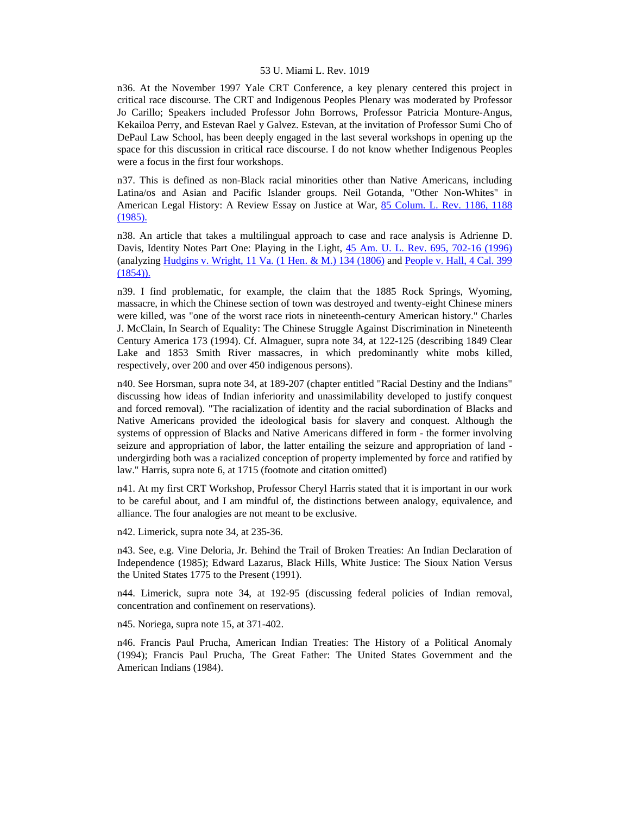n36. At the November 1997 Yale CRT Conference, a key plenary centered this project in critical race discourse. The CRT and Indigenous Peoples Plenary was moderated by Professor Jo Carillo; Speakers included Professor John Borrows, Professor Patricia Monture-Angus, Kekailoa Perry, and Estevan Rael y Galvez. Estevan, at the invitation of Professor Sumi Cho of DePaul Law School, has been deeply engaged in the last several workshops in opening up the space for this discussion in critical race discourse. I do not know whether Indigenous Peoples were a focus in the first four workshops.

n37. This is defined as non-Black racial minorities other than Native Americans, including Latina/os and Asian and Pacific Islander groups. Neil Gotanda, "Other Non-Whites" in American Legal History: A Review Essay on Justice at War, [85 Colum. L. Rev. 1186, 1188](http://www.lexis.com/research/xlink?searchtype=get&search=85%20Colum.%20L.%20Rev.%201186,at%201188)  [\(1985\).](http://www.lexis.com/research/xlink?searchtype=get&search=85%20Colum.%20L.%20Rev.%201186,at%201188)

n38. An article that takes a multilingual approach to case and race analysis is Adrienne D. Davis, Identity Notes Part One: Playing in the Light, [45 Am. U. L. Rev. 695, 702-16 \(1996\)](http://www.lexis.com/research/xlink?searchtype=get&search=45%20Am.%20U.L.%20Rev.%20695,at%20702) (analyzing Hudgins v. Wright,  $11$  Va. (1 Hen. & M.) 134 (1806) and People v. Hall,  $4$  Cal. 399  $(1854)$ ).

n39. I find problematic, for example, the claim that the 1885 Rock Springs, Wyoming, massacre, in which the Chinese section of town was destroyed and twenty-eight Chinese miners were killed, was "one of the worst race riots in nineteenth-century American history." Charles J. McClain, In Search of Equality: The Chinese Struggle Against Discrimination in Nineteenth Century America 173 (1994). Cf. Almaguer, supra note 34, at 122-125 (describing 1849 Clear Lake and 1853 Smith River massacres, in which predominantly white mobs killed, respectively, over 200 and over 450 indigenous persons).

n40. See Horsman, supra note 34, at 189-207 (chapter entitled "Racial Destiny and the Indians" discussing how ideas of Indian inferiority and unassimilability developed to justify conquest and forced removal). "The racialization of identity and the racial subordination of Blacks and Native Americans provided the ideological basis for slavery and conquest. Although the systems of oppression of Blacks and Native Americans differed in form - the former involving seizure and appropriation of labor, the latter entailing the seizure and appropriation of land undergirding both was a racialized conception of property implemented by force and ratified by law." Harris, supra note 6, at 1715 (footnote and citation omitted)

n41. At my first CRT Workshop, Professor Cheryl Harris stated that it is important in our work to be careful about, and I am mindful of, the distinctions between analogy, equivalence, and alliance. The four analogies are not meant to be exclusive.

n42. Limerick, supra note 34, at 235-36.

n43. See, e.g. Vine Deloria, Jr. Behind the Trail of Broken Treaties: An Indian Declaration of Independence (1985); Edward Lazarus, Black Hills, White Justice: The Sioux Nation Versus the United States 1775 to the Present (1991).

n44. Limerick, supra note 34, at 192-95 (discussing federal policies of Indian removal, concentration and confinement on reservations).

n45. Noriega, supra note 15, at 371-402.

n46. Francis Paul Prucha, American Indian Treaties: The History of a Political Anomaly (1994); Francis Paul Prucha, The Great Father: The United States Government and the American Indians (1984).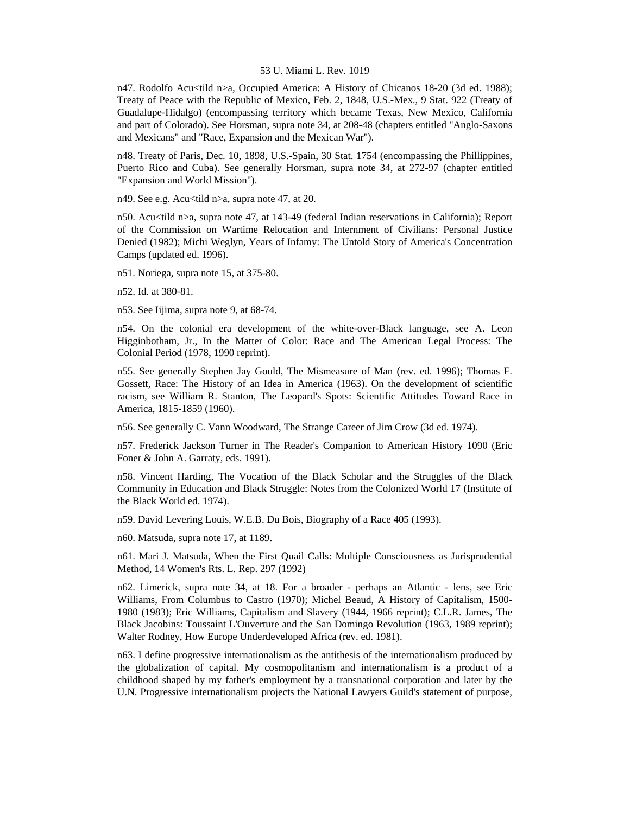n47. Rodolfo Acu<tild n>a, Occupied America: A History of Chicanos 18-20 (3d ed. 1988); Treaty of Peace with the Republic of Mexico, Feb. 2, 1848, U.S.-Mex., 9 Stat. 922 (Treaty of Guadalupe-Hidalgo) (encompassing territory which became Texas, New Mexico, California and part of Colorado). See Horsman, supra note 34, at 208-48 (chapters entitled "Anglo-Saxons and Mexicans" and "Race, Expansion and the Mexican War").

n48. Treaty of Paris, Dec. 10, 1898, U.S.-Spain, 30 Stat. 1754 (encompassing the Phillippines, Puerto Rico and Cuba). See generally Horsman, supra note 34, at 272-97 (chapter entitled "Expansion and World Mission").

n49. See e.g. Acu<tild n>a, supra note 47, at 20.

n50. Acu<tild n>a, supra note 47, at 143-49 (federal Indian reservations in California); Report of the Commission on Wartime Relocation and Internment of Civilians: Personal Justice Denied (1982); Michi Weglyn, Years of Infamy: The Untold Story of America's Concentration Camps (updated ed. 1996).

n51. Noriega, supra note 15, at 375-80.

n52. Id. at 380-81.

n53. See Iijima, supra note 9, at 68-74.

n54. On the colonial era development of the white-over-Black language, see A. Leon Higginbotham, Jr., In the Matter of Color: Race and The American Legal Process: The Colonial Period (1978, 1990 reprint).

n55. See generally Stephen Jay Gould, The Mismeasure of Man (rev. ed. 1996); Thomas F. Gossett, Race: The History of an Idea in America (1963). On the development of scientific racism, see William R. Stanton, The Leopard's Spots: Scientific Attitudes Toward Race in America, 1815-1859 (1960).

n56. See generally C. Vann Woodward, The Strange Career of Jim Crow (3d ed. 1974).

n57. Frederick Jackson Turner in The Reader's Companion to American History 1090 (Eric Foner & John A. Garraty, eds. 1991).

n58. Vincent Harding, The Vocation of the Black Scholar and the Struggles of the Black Community in Education and Black Struggle: Notes from the Colonized World 17 (Institute of the Black World ed. 1974).

n59. David Levering Louis, W.E.B. Du Bois, Biography of a Race 405 (1993).

n60. Matsuda, supra note 17, at 1189.

n61. Mari J. Matsuda, When the First Quail Calls: Multiple Consciousness as Jurisprudential Method, 14 Women's Rts. L. Rep. 297 (1992)

n62. Limerick, supra note 34, at 18. For a broader - perhaps an Atlantic - lens, see Eric Williams, From Columbus to Castro (1970); Michel Beaud, A History of Capitalism, 1500- 1980 (1983); Eric Williams, Capitalism and Slavery (1944, 1966 reprint); C.L.R. James, The Black Jacobins: Toussaint L'Ouverture and the San Domingo Revolution (1963, 1989 reprint); Walter Rodney, How Europe Underdeveloped Africa (rev. ed. 1981).

n63. I define progressive internationalism as the antithesis of the internationalism produced by the globalization of capital. My cosmopolitanism and internationalism is a product of a childhood shaped by my father's employment by a transnational corporation and later by the U.N. Progressive internationalism projects the National Lawyers Guild's statement of purpose,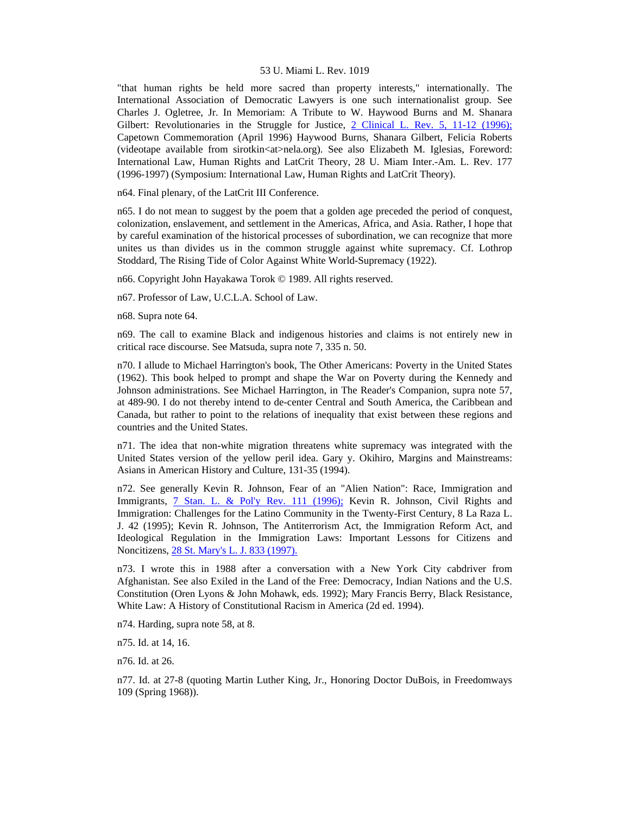"that human rights be held more sacred than property interests," internationally. The International Association of Democratic Lawyers is one such internationalist group. See Charles J. Ogletree, Jr. In Memoriam: A Tribute to W. Haywood Burns and M. Shanara Gilbert: Revolutionaries in the Struggle for Justice,  $2$  Clinical L. Rev. 5, 11-12 (1996); Capetown Commemoration (April 1996) Haywood Burns, Shanara Gilbert, Felicia Roberts (videotape available from sirotkin<at>nela.org). See also Elizabeth M. Iglesias, Foreword: International Law, Human Rights and LatCrit Theory, 28 U. Miam Inter.-Am. L. Rev. 177 (1996-1997) (Symposium: International Law, Human Rights and LatCrit Theory).

n64. Final plenary, of the LatCrit III Conference.

n65. I do not mean to suggest by the poem that a golden age preceded the period of conquest, colonization, enslavement, and settlement in the Americas, Africa, and Asia. Rather, I hope that by careful examination of the historical processes of subordination, we can recognize that more unites us than divides us in the common struggle against white supremacy. Cf. Lothrop Stoddard, The Rising Tide of Color Against White World-Supremacy (1922).

n66. Copyright John Hayakawa Torok © 1989. All rights reserved.

n67. Professor of Law, U.C.L.A. School of Law.

n68. Supra note 64.

n69. The call to examine Black and indigenous histories and claims is not entirely new in critical race discourse. See Matsuda, supra note 7, 335 n. 50.

n70. I allude to Michael Harrington's book, The Other Americans: Poverty in the United States (1962). This book helped to prompt and shape the War on Poverty during the Kennedy and Johnson administrations. See Michael Harrington, in The Reader's Companion, supra note 57, at 489-90. I do not thereby intend to de-center Central and South America, the Caribbean and Canada, but rather to point to the relations of inequality that exist between these regions and countries and the United States.

n71. The idea that non-white migration threatens white supremacy was integrated with the United States version of the yellow peril idea. Gary y. Okihiro, Margins and Mainstreams: Asians in American History and Culture, 131-35 (1994).

n72. See generally Kevin R. Johnson, Fear of an "Alien Nation": Race, Immigration and Immigrants, [7 Stan. L. & Pol'y Rev. 111 \(1996\);](http://www.lexis.com/research/xlink?searchtype=get&search=7%20Stan.%20L.%20%26%20Pol) Kevin R. Johnson, Civil Rights and Immigration: Challenges for the Latino Community in the Twenty-First Century, 8 La Raza L. J. 42 (1995); Kevin R. Johnson, The Antiterrorism Act, the Immigration Reform Act, and Ideological Regulation in the Immigration Laws: Important Lessons for Citizens and Noncitizens, [28 St. Mary's L. J. 833 \(1997\).](http://www.lexis.com/research/xlink?searchtype=get&search=28%20St.%20Mary)

n73. I wrote this in 1988 after a conversation with a New York City cabdriver from Afghanistan. See also Exiled in the Land of the Free: Democracy, Indian Nations and the U.S. Constitution (Oren Lyons & John Mohawk, eds. 1992); Mary Francis Berry, Black Resistance, White Law: A History of Constitutional Racism in America (2d ed. 1994).

n74. Harding, supra note 58, at 8.

n75. Id. at 14, 16.

n76. Id. at 26.

n77. Id. at 27-8 (quoting Martin Luther King, Jr., Honoring Doctor DuBois, in Freedomways 109 (Spring 1968)).